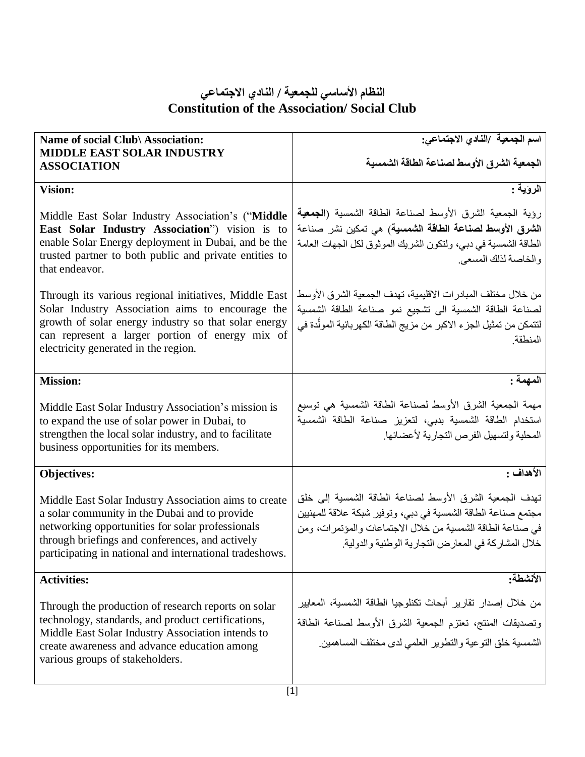| Name of social Club\ Association:<br><b>MIDDLE EAST SOLAR INDUSTRY</b><br><b>ASSOCIATION</b>                                                                                                                                                                             | اسم الجمعية /النادي الاجتماعي:<br>الجمعية الشرق الأوسط لصناعة الطاقة الشمسية                                                                                                                                                                 |
|--------------------------------------------------------------------------------------------------------------------------------------------------------------------------------------------------------------------------------------------------------------------------|----------------------------------------------------------------------------------------------------------------------------------------------------------------------------------------------------------------------------------------------|
| <b>Vision:</b>                                                                                                                                                                                                                                                           | الروّية :                                                                                                                                                                                                                                    |
| Middle East Solar Industry Association's ("Middle<br>East Solar Industry Association") vision is to<br>enable Solar Energy deployment in Dubai, and be the<br>trusted partner to both public and private entities to<br>that endeavor.                                   | رؤية الجمعية الشرق الأوسط لصناعة الطاقة الشمسية (ا <b>لجمعية</b><br>الشرق الأوسط لصناعة الطاقة الشمسية) هي تمكين نشر صناعة<br>الطاقة الشمسية في دبي، ولتكون الشريك الموثوق لكل الجهات العامة<br>والخاصة لذلك المسعى                          |
| Through its various regional initiatives, Middle East<br>Solar Industry Association aims to encourage the<br>growth of solar energy industry so that solar energy<br>can represent a larger portion of energy mix of<br>electricity generated in the region.             | من خلال مختلف المبادر ات الاقليمية، تهدف الجمعية الشرق الأوسط<br>لصناعة الطاقة الشمسية الى تشجيع نمو صناعة الطاقة الشمسية<br>لتتمكن من تمثيل الجز ء الاكبر من مزيج الطاقة الكهربائية المولّدة في<br>المنطقة                                  |
| <b>Mission:</b>                                                                                                                                                                                                                                                          | المهمة :                                                                                                                                                                                                                                     |
| Middle East Solar Industry Association's mission is<br>to expand the use of solar power in Dubai, to<br>strengthen the local solar industry, and to facilitate<br>business opportunities for its members.                                                                | مهمة الجمعية الشرق الأوسط لصناعة الطاقة الشمسية هي توسيع<br>استخدام الطاقة الشمسية بدبى، لتعزيز صناعة الطاقة الشمسية<br>المحلية ولتسهيل الفرص التجارية لأعضائها                                                                              |
| <b>Objectives:</b>                                                                                                                                                                                                                                                       | الأهداف :                                                                                                                                                                                                                                    |
| Middle East Solar Industry Association aims to create<br>a solar community in the Dubai and to provide<br>networking opportunities for solar professionals<br>through briefings and conferences, and actively<br>participating in national and international tradeshows. | تهدف الجمعية الشرق الأوسط لصناعة الطاقة الشمسية إلى خلق<br>مجتمع صناعة الطاقة الشمسية في دبي، وتوفير شبكة علاقة للمهنيين<br>في صناعة الطاقة الشمسية من خلال الاجتماعات والمؤتمرات، ومن<br>خلال المشاركة في المعارض التجارية الوطنية والدولية |
| <b>Activities:</b>                                                                                                                                                                                                                                                       | الأنشطة:                                                                                                                                                                                                                                     |
| Through the production of research reports on solar<br>technology, standards, and product certifications,<br>Middle East Solar Industry Association intends to<br>create awareness and advance education among<br>various groups of stakeholders.                        | من خلال إصدار تقارير أبحاث تكنلوجيا الطاقة الشمسية، المعايير<br>وتصديقات المنتج، تعتزم الجمعية الشرق الأوسط لصناعة الطاقة<br>الشمسية خلق التوعية والتطوير العلمي لدى مختلف المساهمين                                                         |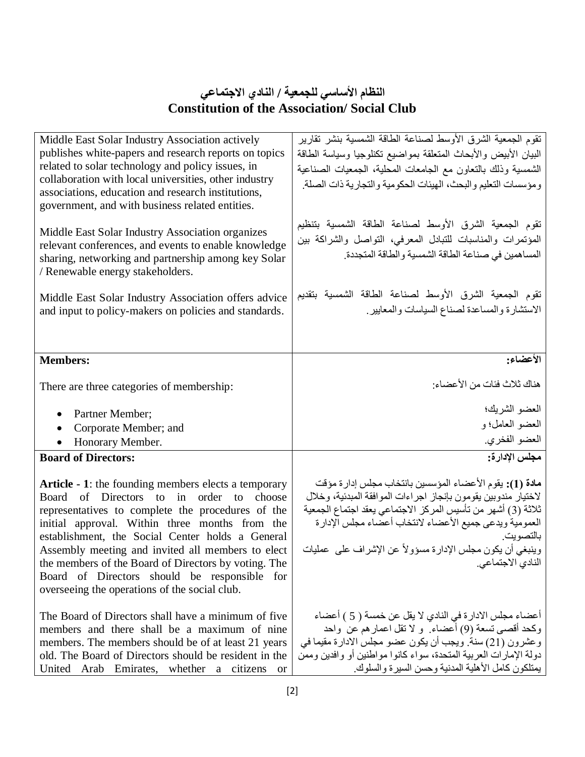| Middle East Solar Industry Association actively<br>publishes white-papers and research reports on topics<br>related to solar technology and policy issues, in<br>collaboration with local universities, other industry<br>associations, education and research institutions,<br>government, and with business related entities.<br>Middle East Solar Industry Association organizes                                                                                                 | تقوم الجمعية الشرق الأوسط لصناعة الطاقة الشمسية بنشر تقارير<br>البيان الأبيض والأبحاث المتعلقة بمواضيع تكنلوجيا وسياسة الطاقة<br>الشمسية وذلك بالتعاون مع الجامعات المحلية، الجمعيات الصناعية<br>ومؤسسات التعليم والبحث، الهيئات الحكومية والتجارية ذات الصلة<br>تقوم الجمعية الشرق الأوسط لصناعة الطاقة الشمسية بتنظيم                                               |
|-------------------------------------------------------------------------------------------------------------------------------------------------------------------------------------------------------------------------------------------------------------------------------------------------------------------------------------------------------------------------------------------------------------------------------------------------------------------------------------|-----------------------------------------------------------------------------------------------------------------------------------------------------------------------------------------------------------------------------------------------------------------------------------------------------------------------------------------------------------------------|
| relevant conferences, and events to enable knowledge<br>sharing, networking and partnership among key Solar<br>/ Renewable energy stakeholders.                                                                                                                                                                                                                                                                                                                                     | المؤتمرات والمناسبات للتبادل المعرفي، التواصل والشراكة بين<br>المساهمين في صناعة الطاقة الشمسية والطاقة المتجددة.                                                                                                                                                                                                                                                     |
| Middle East Solar Industry Association offers advice<br>and input to policy-makers on policies and standards.                                                                                                                                                                                                                                                                                                                                                                       | تقوم الجمعية الشرق الأوسط لصناعة الطاقة الشمسية بتقديم<br>الاستشارة والمساعدة لصناع السياسات والمعايير                                                                                                                                                                                                                                                                |
| <b>Members:</b>                                                                                                                                                                                                                                                                                                                                                                                                                                                                     | الأعضاء:                                                                                                                                                                                                                                                                                                                                                              |
| There are three categories of membership:                                                                                                                                                                                                                                                                                                                                                                                                                                           | هناك ثلاث فئات من الأعضاء:                                                                                                                                                                                                                                                                                                                                            |
| Partner Member;<br>$\bullet$                                                                                                                                                                                                                                                                                                                                                                                                                                                        | العضو الشريك؛                                                                                                                                                                                                                                                                                                                                                         |
| Corporate Member; and<br>$\bullet$                                                                                                                                                                                                                                                                                                                                                                                                                                                  | العضو العامل؛ و                                                                                                                                                                                                                                                                                                                                                       |
| Honorary Member.                                                                                                                                                                                                                                                                                                                                                                                                                                                                    | العضو الفخري.                                                                                                                                                                                                                                                                                                                                                         |
| <b>Board of Directors:</b>                                                                                                                                                                                                                                                                                                                                                                                                                                                          | مجلس الإدارة:                                                                                                                                                                                                                                                                                                                                                         |
| <b>Article - 1:</b> the founding members elects a temporary<br>Board of Directors to in order to choose<br>representatives to complete the procedures of the<br>initial approval. Within three months from the<br>establishment, the Social Center holds a General<br>Assembly meeting and invited all members to elect<br>the members of the Board of Directors by voting. The<br>Board of Directors should be responsible<br>for<br>overseeing the operations of the social club. | <b>مادة (1):</b> يقوم الأعضاء المؤسسين بانتخاب مجلس إدار ة مؤقت<br>لاختيار مندوبين يقومون بإنجاز اجراءات الموافقة المبدئية، وخلال<br>ثلاثة (3) أشهر من تأسيس المركز الاجتماعي يعقد اجتماع الجمعية<br>العمومية ويدعى جميع الأعضاء لانتخاب أعضاء مجلس الإدارة<br>بالتصويت<br>وينبغي أن يكون مجلس الإدارة مسؤولاً عن الإشراف على عمليات<br>النادي الاجتماعي <sub>.</sub> |
| The Board of Directors shall have a minimum of five<br>members and there shall be a maximum of nine<br>members. The members should be of at least 21 years<br>old. The Board of Directors should be resident in the<br>United Arab Emirates, whether a citizens<br>or                                                                                                                                                                                                               | أعضاء مجلس الادار ة في النادي لا يقل عن خمسة ( 5 ) أعضاء<br>وكحد أقصىي تسعة (9) أعضاء ٍ و لا تقل اعمار هم عن ۖ واحد<br>وعشرون (21) سنة. ويجب أن يكون عضو مجلس الادارة مقيما في<br>دولة الإمارات العربية المتحدة، سواء كانوا مواطنين أو وافدين وممن<br>يمتلكون كامل الأهلية المدنية وحسن السيرة والسلوك                                                                |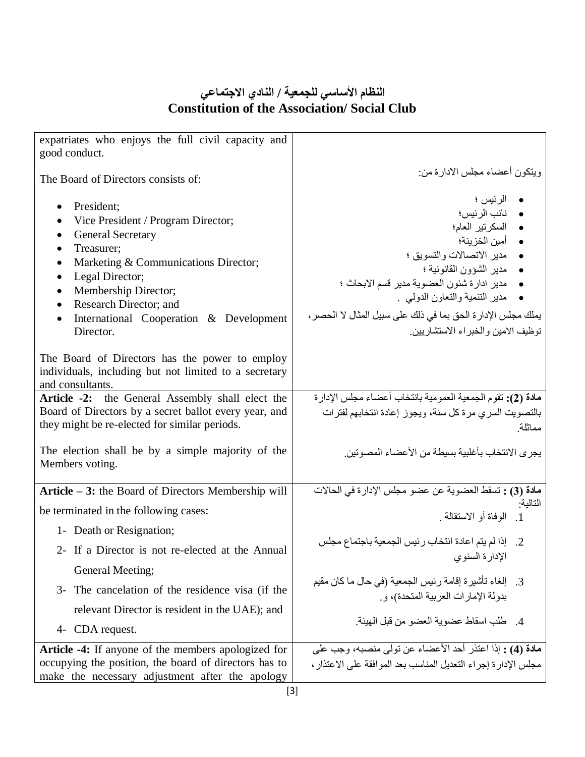| expatriates who enjoys the full civil capacity and                                                        |                                                                        |
|-----------------------------------------------------------------------------------------------------------|------------------------------------------------------------------------|
| good conduct.                                                                                             |                                                                        |
| The Board of Directors consists of:                                                                       | ويتكون أعضاء مجلس الادارة من:                                          |
|                                                                                                           | • الرئيس ؛                                                             |
| President;                                                                                                | • نائب الرئيس؛                                                         |
| Vice President / Program Director;                                                                        | • السكرتير العام؛                                                      |
| <b>General Secretary</b><br>$\bullet$                                                                     | • أمين الخزينة؛                                                        |
| Treasurer;<br>$\bullet$                                                                                   | • مدير الاتصالات والتسويق ؛                                            |
| Marketing & Communications Director;<br>$\bullet$<br>Legal Director;<br>$\bullet$                         | • مدير الشؤون القانونية ؛                                              |
| Membership Director;<br>$\bullet$                                                                         | • مدير ادارة شئون العضوية مدير قسم الابحاث ؛                           |
| Research Director; and<br>$\bullet$                                                                       | •    مدير التنمية والتعاون الدولبي .                                   |
| International Cooperation & Development<br>$\bullet$                                                      | يملك مجلس الإدار ة الحق بما في ذلك على سبيل المثال لا الحصر ،          |
| Director.                                                                                                 | توظيف الامين و الخبر اء الاستشار بين                                   |
|                                                                                                           |                                                                        |
| The Board of Directors has the power to employ                                                            |                                                                        |
| individuals, including but not limited to a secretary                                                     |                                                                        |
| and consultants.                                                                                          | مادة (2): تقوم الجمعية العمومية بانتخاب أعضاء مجلس الإدارة             |
| Article -2: the General Assembly shall elect the<br>Board of Directors by a secret ballot every year, and |                                                                        |
| they might be re-elected for similar periods.                                                             | بالتصويت السري مرة كل سنة، ويجوز إعادة انتخابهم لفترات<br>مماثلة       |
|                                                                                                           |                                                                        |
| The election shall be by a simple majority of the                                                         | يجر ي الانتخاب بأغلبية بسيطة من الأعضاء المصو تين                      |
| Members voting.                                                                                           |                                                                        |
|                                                                                                           | مادة (3) : تسقط العضوية عن عضو مجلس الإدارة في الحالات                 |
| Article - 3: the Board of Directors Membership will                                                       | التالية:                                                               |
| be terminated in the following cases:                                                                     | 1. الوفاة أو الاستقالة                                                 |
| 1- Death or Resignation;                                                                                  |                                                                        |
| 2- If a Director is not re-elected at the Annual                                                          | 2. إذا لم يتم اعادة انتخاب رئيس الجمعية باجتماع مجلس<br>الإدارة السنوي |
| General Meeting;                                                                                          |                                                                        |
| 3- The cancelation of the residence visa (if the                                                          | 3.    إلغاء تأشيرة إقامة رئيس الجمعية (في حال ما كان مقيم              |
|                                                                                                           | بدولة الإمارات العربية المتحدة)، و                                     |
| relevant Director is resident in the UAE); and                                                            | 4. طلب اسقاط عضوية العضو من قبل المهيئة.                               |
| 4- CDA request.                                                                                           |                                                                        |
| <b>Article -4:</b> If anyone of the members apologized for                                                | مادة (4) : إذا اعتذر أحد الأعضاء عن تولَّى منصبه، وجب على              |
| occupying the position, the board of directors has to                                                     | مجلس الإدار ة إجراء النعديل المناسب بعد الموافقة على الاعتذار ،        |
| make the necessary adjustment after the apology                                                           |                                                                        |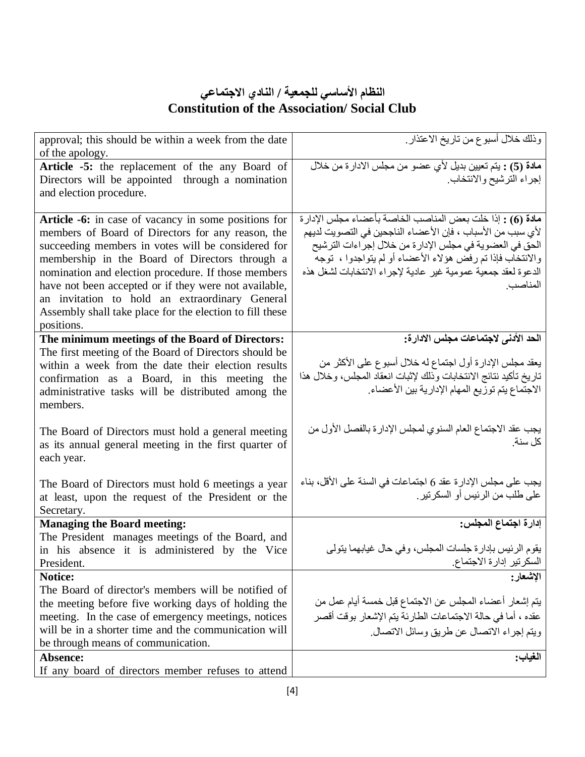| approval; this should be within a week from the date<br>of the apology.                                                                                                                                                                                                                                                                                                                                                                                       | وذلك خلال أسبوع من تاريخ الاعتذار ِ                                                                                                                                                                                                                                                                                          |
|---------------------------------------------------------------------------------------------------------------------------------------------------------------------------------------------------------------------------------------------------------------------------------------------------------------------------------------------------------------------------------------------------------------------------------------------------------------|------------------------------------------------------------------------------------------------------------------------------------------------------------------------------------------------------------------------------------------------------------------------------------------------------------------------------|
| Article -5: the replacement of the any Board of<br>Directors will be appointed through a nomination<br>and election procedure.                                                                                                                                                                                                                                                                                                                                | مادة (5) : يتم تعيين بديل لأي عضو من مجلس الادارة من خلال<br>إجراء الترشيح والانتخاب                                                                                                                                                                                                                                         |
| Article -6: in case of vacancy in some positions for<br>members of Board of Directors for any reason, the<br>succeeding members in votes will be considered for<br>membership in the Board of Directors through a<br>nomination and election procedure. If those members<br>have not been accepted or if they were not available,<br>an invitation to hold an extraordinary General<br>Assembly shall take place for the election to fill these<br>positions. | مادة (6) : إذا خلت بعض المناصب الخاصة بأعضاء مجلس الإدارة<br>لأي سبب من الأسباب ، فإن الأعضاء الناجحين في التصويت لديهم<br>الحق في العضوية في مجلس الإدارة من خلال إجراءات الترشيح<br>والانتخاب فإذا تم رفض هؤلاء الأعضاء أو لم يتواجدوا ، توجه<br>الدعوة لعقد جمعية عمومية غير عادية لإجراء الانتخابات لشغل هذه<br>المناصب. |
| The minimum meetings of the Board of Directors:<br>The first meeting of the Board of Directors should be<br>within a week from the date their election results<br>confirmation as a Board, in this meeting the<br>administrative tasks will be distributed among the<br>members.                                                                                                                                                                              | الحد الأدنى لاجتماعات مجلس الادارة:<br>يعقد مجلس الإدارة أول اجتماع له خلال أسبوع على الأكثر من<br>تاريخ تأكيد نتائج الانتخابات وذلك لإثبات انعقاد المجلس، وخلال هذا<br>الاجتماع يتم توزيع المهام الإدارية بين الأعضاء                                                                                                       |
| The Board of Directors must hold a general meeting<br>as its annual general meeting in the first quarter of<br>each year.                                                                                                                                                                                                                                                                                                                                     | يجب عقد الاجتماع العام السنوي لمجلس الإدارة بالفصل الأول من<br>كل سنة.                                                                                                                                                                                                                                                       |
| The Board of Directors must hold 6 meetings a year<br>at least, upon the request of the President or the<br>Secretary.                                                                                                                                                                                                                                                                                                                                        | يجب على مجلس الإدار ة عقد 6 اجتماعات في السنة على الأقل، بناء<br>على طلب من الرئيس أو السكرتير .                                                                                                                                                                                                                             |
| <b>Managing the Board meeting:</b>                                                                                                                                                                                                                                                                                                                                                                                                                            | إدارة اجتماع المجلس:                                                                                                                                                                                                                                                                                                         |
| The President manages meetings of the Board, and<br>in his absence it is administered by the Vice<br>President.                                                                                                                                                                                                                                                                                                                                               | يقوم الرئيس بإدارة جلسات المجلس، وفي حال غيابهما يتولى<br>السكرتير إدارة الاجتماع                                                                                                                                                                                                                                            |
| <b>Notice:</b>                                                                                                                                                                                                                                                                                                                                                                                                                                                | الإشعار:                                                                                                                                                                                                                                                                                                                     |
| The Board of director's members will be notified of                                                                                                                                                                                                                                                                                                                                                                                                           |                                                                                                                                                                                                                                                                                                                              |
| the meeting before five working days of holding the                                                                                                                                                                                                                                                                                                                                                                                                           | يتم إشعار أعضاء المجلس عن الاجتماع قبل خمسة أيام عمل من                                                                                                                                                                                                                                                                      |
| meeting. In the case of emergency meetings, notices<br>will be in a shorter time and the communication will                                                                                                                                                                                                                                                                                                                                                   | عقده ، أما في حالة الاجتماعات الطارئة يتم الإشعار بوقت أقصر<br>ويتم إجراء الاتصال عن طريق وسائل الاتصال                                                                                                                                                                                                                      |
| be through means of communication.                                                                                                                                                                                                                                                                                                                                                                                                                            |                                                                                                                                                                                                                                                                                                                              |
| Absence:                                                                                                                                                                                                                                                                                                                                                                                                                                                      | الغياب:                                                                                                                                                                                                                                                                                                                      |
| If any board of directors member refuses to attend                                                                                                                                                                                                                                                                                                                                                                                                            |                                                                                                                                                                                                                                                                                                                              |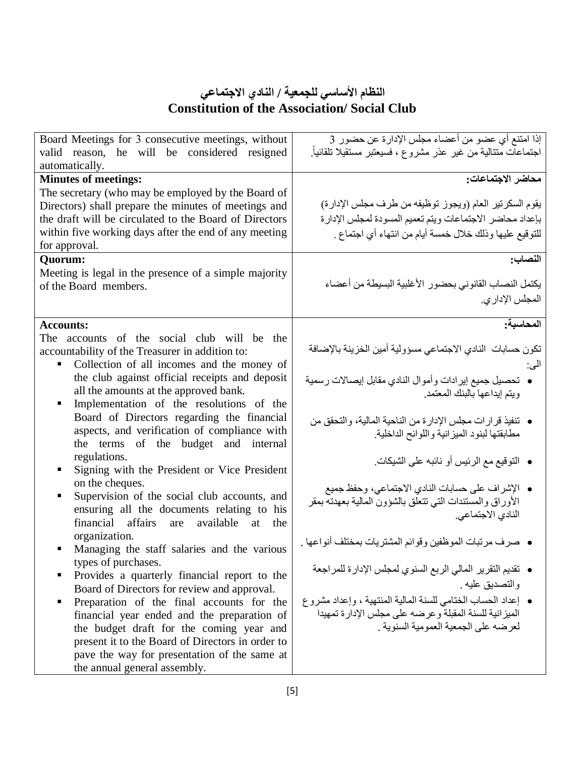| Board Meetings for 3 consecutive meetings, without<br>valid reason, he will be considered resigned | إذا امتنع أي عضو من أعضاء مجلس الإدارة عن حضور 3<br>اجتماعات متتالية من غير عذر مشروع ، فسيعتبر مستقيلا تلقائياً. |
|----------------------------------------------------------------------------------------------------|-------------------------------------------------------------------------------------------------------------------|
| automatically.                                                                                     |                                                                                                                   |
| <b>Minutes of meetings:</b>                                                                        | محاضر الاجتماعات:                                                                                                 |
| The secretary (who may be employed by the Board of                                                 |                                                                                                                   |
| Directors) shall prepare the minutes of meetings and                                               | يقوم السكرتير العام (ويجوز توظيفه من طرف مجلس الإدارة)                                                            |
| the draft will be circulated to the Board of Directors                                             | بإعداد محاضر الاجتماعات ويتم تعميم المسودة لمجلس الإدارة                                                          |
| within five working days after the end of any meeting                                              | للتوقيع عليها وذلك خلال خمسة أيام من انتهاء أي اجتماع .                                                           |
| for approval.                                                                                      |                                                                                                                   |
| <b>Ouorum:</b>                                                                                     | النصاب:                                                                                                           |
| Meeting is legal in the presence of a simple majority                                              |                                                                                                                   |
| of the Board members.                                                                              | يكتمل النصاب القانوني بحضور الأغلبية البسيطة من أعضاء                                                             |
|                                                                                                    | المجلس الإدار ي.                                                                                                  |
|                                                                                                    |                                                                                                                   |
| <b>Accounts:</b>                                                                                   | المحاسبة:                                                                                                         |
| The accounts of the social club will be the                                                        |                                                                                                                   |
| accountability of the Treasurer in addition to:                                                    | تكون حسابات النادي الاجتماعي مسؤولية أمين الخزينة بالإضافة                                                        |
| Collection of all incomes and the money of                                                         | الى:                                                                                                              |
| the club against official receipts and deposit                                                     | •  تحصيل جميع إيرادات وأموال النادي مقابل إيصالات رسمية                                                           |
| all the amounts at the approved bank.                                                              | ويتم إيداعها بالبنك المعتمد.                                                                                      |
| Implementation of the resolutions of the                                                           |                                                                                                                   |
| Board of Directors regarding the financial                                                         | • تنفيذ قرارات مجلس الإدارة من الناحية المالية، والتحقق من                                                        |
| aspects, and verification of compliance with                                                       | مطابقتها لبنود الميزانية واللوائح الداخلية                                                                        |
| the terms of the budget and internal                                                               |                                                                                                                   |
| regulations.                                                                                       |                                                                                                                   |
| Signing with the President or Vice President<br>٠                                                  | • النوقيع مع الرئيس أو نائبه على الشيكات.                                                                         |
| on the cheques.                                                                                    |                                                                                                                   |
| Supervision of the social club accounts, and                                                       | • الإشراف على حسابات النادي الاجتماعي، وحفظ جميع                                                                  |
| ensuring all the documents relating to his                                                         | الأوراق والمستندات التى نتعلق بالشؤون المالية بعهدته بمقر                                                         |
| financial affairs<br>available<br>the<br>are<br>at                                                 | النادي الاجتماعي.                                                                                                 |
| organization.                                                                                      |                                                                                                                   |
| Managing the staff salaries and the various                                                        | ●   صرف مرتبات الموظفين وقوائم المشتريات بمختلف أنواعها .                                                         |
| types of purchases.                                                                                |                                                                                                                   |
| Provides a quarterly financial report to the                                                       | • تقديم النقرير المالي الربع السنوي لمجلس الإدارة للمراجعة                                                        |
| Board of Directors for review and approval.                                                        | والتصديق عليه .                                                                                                   |
| Preparation of the final accounts for the<br>$\blacksquare$                                        | • إعداد الحساب الخنامي للسنة المالية المنتهية ، وإعداد مشروع                                                      |
| financial year ended and the preparation of                                                        | الميز انية للسنة المقبلة وعرضه على مجلس الإدار ة تمهيدا                                                           |
| the budget draft for the coming year and                                                           | لعر ضبه على الجمعية العمو مية السنوية .                                                                           |
| present it to the Board of Directors in order to                                                   |                                                                                                                   |
| pave the way for presentation of the same at                                                       |                                                                                                                   |
| the annual general assembly.                                                                       |                                                                                                                   |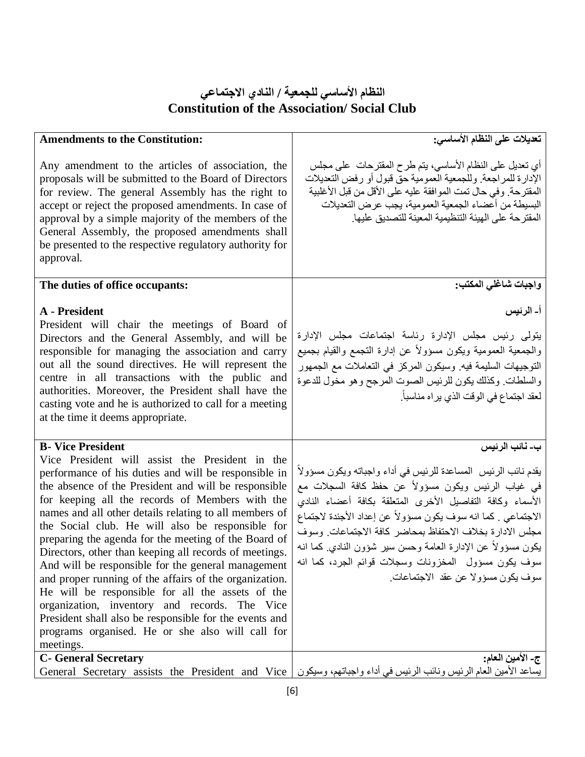| <b>Amendments to the Constitution:</b>                                                                                                                                                                                                                                                                                                                                                                                                                                                                                                                                                                                                                                                                                                                                                                                         | تعديلات على النظام الأساسي:                                                                                                                                                                                                                                                                                                                                                                                                                                                                   |
|--------------------------------------------------------------------------------------------------------------------------------------------------------------------------------------------------------------------------------------------------------------------------------------------------------------------------------------------------------------------------------------------------------------------------------------------------------------------------------------------------------------------------------------------------------------------------------------------------------------------------------------------------------------------------------------------------------------------------------------------------------------------------------------------------------------------------------|-----------------------------------------------------------------------------------------------------------------------------------------------------------------------------------------------------------------------------------------------------------------------------------------------------------------------------------------------------------------------------------------------------------------------------------------------------------------------------------------------|
| Any amendment to the articles of association, the<br>proposals will be submitted to the Board of Directors<br>for review. The general Assembly has the right to<br>accept or reject the proposed amendments. In case of<br>approval by a simple majority of the members of the<br>General Assembly, the proposed amendments shall<br>be presented to the respective regulatory authority for<br>approval.                                                                                                                                                                                                                                                                                                                                                                                                                      | أي تعديل على النظام الأساسي، يتم طرح المقترحات ً على مجلس<br>الإدارة للمراجعة وللجمعية العمومية حق قبول أو رفض التعديلات<br>المقترحة. وفي حال تمت الموافقة عليه على الأقل من قبل الأغلبية<br>البسيطة من أعضاء الجمعية العمومية، يجب عرض التعديلات<br>المقترحة على الهيئة التنظيمية المعينة للتصديق عليها.                                                                                                                                                                                     |
| The duties of office occupants:                                                                                                                                                                                                                                                                                                                                                                                                                                                                                                                                                                                                                                                                                                                                                                                                | واجبات شاغلي المكتب:                                                                                                                                                                                                                                                                                                                                                                                                                                                                          |
| A - President<br>President will chair the meetings of Board of<br>Directors and the General Assembly, and will be<br>responsible for managing the association and carry<br>out all the sound directives. He will represent the<br>centre in all transactions with the public and<br>authorities. Moreover, the President shall have the<br>casting vote and he is authorized to call for a meeting<br>at the time it deems appropriate.                                                                                                                                                                                                                                                                                                                                                                                        | أ۔ الرئيس<br>يتولى رئيس مجلس الإدارة رئاسة اجتماعات مجلس الإدارة<br>والجمعية العمومية ويكون مسؤولأ عن إدارة التجمع والقيام بجميع<br>التوجيهات السليمة فيه وسيكون المركز في التعاملات مع الجمهور<br>والسلطات وكذلك يكون للرئيس الصوت المرجح وهو مخول للدعوة<br>لعقد اجتماع في الوقت الذي يراه مناسباً.                                                                                                                                                                                         |
| <b>B-</b> Vice President<br>Vice President will assist the President in the<br>performance of his duties and will be responsible in<br>the absence of the President and will be responsible<br>for keeping all the records of Members with the<br>names and all other details relating to all members of<br>the Social club. He will also be responsible for<br>preparing the agenda for the meeting of the Board of<br>Directors, other than keeping all records of meetings.<br>And will be responsible for the general management<br>and proper running of the affairs of the organization.<br>He will be responsible for all the assets of the<br>organization, inventory and records. The Vice<br>President shall also be responsible for the events and<br>programs organised. He or she also will call for<br>meetings. | ب۔ نائب الرئيس<br>يقدم نائب الرئيس  المساعدة للرئيس في أداء واجباته ويكون مسؤولأ<br>في غياب الرئيس ويكون مسؤولاً عن حفظ كافة السجلات مع<br>الأسماء وكافة التفاصيل الأخرى المتعلقة بكافة أعضاء النادي<br>الاجتماعي . كما انه سوف يكون مسؤولاً عن إعداد الأجندة لاجتماع<br>مجلس الادارة بخلاف الاحتفاظ بمحاضر كافة الاجتماعات وسوف<br>يكون مسؤولاً عن الإدارة العامة وحسن سير شؤون النادي كما انه<br>سوف يكون مسؤول المخزونات وسجلات قوائم الجرد، كما انه<br>سوف يكون مسؤولا عن عقد الاجتماعات. |
| <b>C- General Secretary</b><br>General Secretary assists the President and Vice                                                                                                                                                                                                                                                                                                                                                                                                                                                                                                                                                                                                                                                                                                                                                | ج- الأمين العام:<br>يساعد الأمين العام الرئيس ونائب الرئيس في أداء واجباتهم، وسيكون                                                                                                                                                                                                                                                                                                                                                                                                           |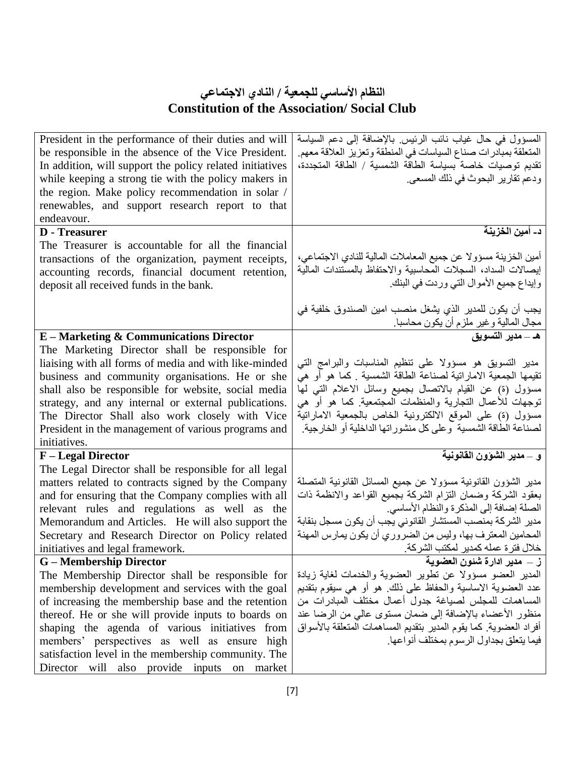| President in the performance of their duties and will    | المسؤول في حال غياب نائب الرئيس بالإضافة إلى دعم السياسة                        |
|----------------------------------------------------------|---------------------------------------------------------------------------------|
| be responsible in the absence of the Vice President.     | المتعلقة بمبادرات صناع السياسات في المنطقة وتعزيز العلاقة معهم.                 |
| In addition, will support the policy related initiatives | تقديم توصيات خاصة بسياسة الطاقة الشمسية / الطاقة المتجددة،                      |
| while keeping a strong tie with the policy makers in     | ودعم تقارير البحوث في ذلك المسعى.                                               |
| the region. Make policy recommendation in solar /        |                                                                                 |
| renewables, and support research report to that          |                                                                                 |
| endeavour.                                               |                                                                                 |
| <b>D</b> - Treasurer                                     | د_ أمين الخزينة                                                                 |
| The Treasurer is accountable for all the financial       |                                                                                 |
| transactions of the organization, payment receipts,      | أمين الخزينة مسؤولا عن جميع المعاملات المالية للنادي الاجتماعي،                 |
| accounting records, financial document retention,        | إيصالات السداد، السجلات المحاسبية والاحتفاظ بالمستندات المالية                  |
| deposit all received funds in the bank.                  | وإيداع جميع الأموال التي وردت في البنك                                          |
|                                                          |                                                                                 |
|                                                          | يجب أن يكون للمدير الذي يشغل منصب امين الصندوق خلفية في                         |
|                                                          | مجال المالية وغير ملزم أن يكون محاسبا <sub>.</sub><br>هـ ــ <b>مدير التسويق</b> |
| <b>E-Marketing &amp; Communications Director</b>         |                                                                                 |
| The Marketing Director shall be responsible for          |                                                                                 |
| liaising with all forms of media and with like-minded    | مدير التسويق هو مسؤولا على تنظيم المناسبات والبرامج التي                        |
| business and community organisations. He or she          | تقيمها الجمعية الاماراتية لصناعة الطاقة الشمسية ¸كما هو أو هي                   |
| shall also be responsible for website, social media      | مسؤول (ة) عن القيام بالاتصال بجميع وسائل الاعلام التبي لمها                     |
| strategy, and any internal or external publications.     | توجهات للأعمال التجارية والمنظمات المجتمعية كما هو أو هي                        |
| The Director Shall also work closely with Vice           | مسؤول (ة) على الموقع الالكترونية الخاص بالجمعية الاماراتية                      |
| President in the management of various programs and      | لصناعة الطاقة الشمسية وعلى كل منشوراتها الداخلية أو الخارجية                    |
| initiatives.                                             |                                                                                 |
| F – Legal Director                                       | و _ مدير الشوون القانونية                                                       |
| The Legal Director shall be responsible for all legal    |                                                                                 |
| matters related to contracts signed by the Company       | مدير الشؤون القانونية مسؤولا عن جميع المسائل القانونية المتصلة                  |
| and for ensuring that the Company complies with all      | بعقود الشركة وضمان النزام الشركة بجميع القواعد والانظمة ذات                     |
| relevant rules and regulations as well as the            | الصلة إضافة إلى المذكرة والنظام الأساسي                                         |
| Memorandum and Articles. He will also support the        | مدير الشركة بمنصب المستشار القانوني يجب أن يكون مسجل بنقابة                     |
| Secretary and Research Director on Policy related        | المحامين المعترف بها، وليس من الضروري أن يكون يمارس المهنة                      |
| initiatives and legal framework.                         | خلال فترة عمله كمدير لمكتب الشركة                                               |
| G – Membership Director                                  | ز __ مدير ادار ة شئون العضوية                                                   |
| The Membership Director shall be responsible for         | المدبر العضو مسؤولا عن نطوير العضوية والخدمات لغاية زيادة                       |
| membership development and services with the goal        | عدد العضوية الاساسية والحفاظ على ذلك ِ هو أو هي سيقوم بتقديم                    |
| of increasing the membership base and the retention      | المساهمات للمجلس لصياغة جدول أعمال مختلف المبادرات من                           |
| thereof. He or she will provide inputs to boards on      | منظور الأعضاء بالإضافة إلى ضمان مستوى عالمي من الرضا عند                        |
| shaping the agenda of various initiatives from           | أفراد العضوية كما يقوم المدير بتقديم المساهمات المتعلقة بالأسواق                |
| members' perspectives as well as ensure high             | فيما يتعلق بجداول الرسوم بمختلف أنواعها                                         |
| satisfaction level in the membership community. The      |                                                                                 |
| Director will also provide inputs on market              |                                                                                 |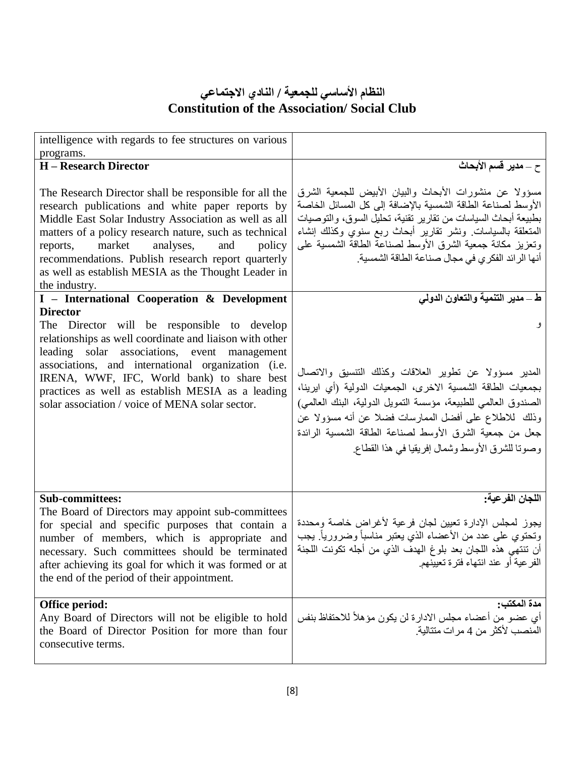| intelligence with regards to fee structures on various                                                                                                                                                                                                                                                                                                                                                          |                                                                                                                                                                                                                                                                                                                                                                      |
|-----------------------------------------------------------------------------------------------------------------------------------------------------------------------------------------------------------------------------------------------------------------------------------------------------------------------------------------------------------------------------------------------------------------|----------------------------------------------------------------------------------------------------------------------------------------------------------------------------------------------------------------------------------------------------------------------------------------------------------------------------------------------------------------------|
| programs.                                                                                                                                                                                                                                                                                                                                                                                                       |                                                                                                                                                                                                                                                                                                                                                                      |
| <b>H</b> – Research Director                                                                                                                                                                                                                                                                                                                                                                                    | ح _ مدير قسم الأبحاث                                                                                                                                                                                                                                                                                                                                                 |
| The Research Director shall be responsible for all the<br>research publications and white paper reports by<br>Middle East Solar Industry Association as well as all<br>matters of a policy research nature, such as technical<br>market<br>analyses,<br>and<br>policy<br>reports,<br>recommendations. Publish research report quarterly<br>as well as establish MESIA as the Thought Leader in<br>the industry. | مسؤولا عن منشورات الأبحاث والبيان الأبيض للجمعية الشرق<br>الأوسط لصناعة الطاقة الشمسية بالإضافة إلى كل المسائل الخاصة<br>بطبيعة أبحاث السياسات من تقارير تقنية، تحليل السوق، والتوصيات<br>المتعلقة بالسياسات ونشر نقارير أبحاث ربع سنوي وكذلك إنشاء<br>ونعزيز مكانة جمعية الشرق الأوسط لصناعة الطاقة الشمسية على<br>أنها الرائد الفكري في مجال صناعة الطاقة الشمسية. |
| I - International Cooperation & Development                                                                                                                                                                                                                                                                                                                                                                     | ط ـــ مدير التنمية والتعاون الدولي                                                                                                                                                                                                                                                                                                                                   |
| <b>Director</b><br>The Director will be responsible to develop<br>relationships as well coordinate and liaison with other<br>leading solar associations, event management                                                                                                                                                                                                                                       | و                                                                                                                                                                                                                                                                                                                                                                    |
| associations, and international organization (i.e.<br>IRENA, WWF, IFC, World bank) to share best<br>practices as well as establish MESIA as a leading<br>solar association / voice of MENA solar sector.                                                                                                                                                                                                        | المدير مسؤولا عن تطوير العلاقات وكذلك التنسيق والاتصال<br>بجمعيات الطاقة الشمسية الاخرى، الجمعيات الدولية (أي ايرينا،<br>الصندوق العالمي للطبيعة، مؤسسة النمويل الدولية، البنك العالمي)<br>وذلك للاطلاع على أفضل الممارسات فضلا عن أنه مسؤولا عن<br>جعل من جمعية الشرق الأوسط لصناعة الطاقة الشمسية الرائدة<br>وصونا للشرق الأوسط وشمال إفريقيا في هذا القطاع        |
| <b>Sub-committees:</b><br>The Board of Directors may appoint sub-committees<br>for special and specific purposes that contain a<br>number of members, which is appropriate and<br>necessary. Such committees should be terminated<br>after achieving its goal for which it was formed or at<br>the end of the period of their appointment.                                                                      | اللجان الفرعية:<br>يجوز لمجلس الإدارة تعيين لجان فرعية لأغراض خاصة ومحددة<br>وتحتوي على عدد من الأعضاء الذي يعتبر مناسباً وضرورياً ِ يجب<br>أن تنتهي هذه اللجان بعد بلوغ الهدف الذي من أجله تكونت اللجنة<br>الفر عية أو عند انتهاء فترة تعيينهم.                                                                                                                     |
| Office period:<br>Any Board of Directors will not be eligible to hold<br>the Board of Director Position for more than four<br>consecutive terms.                                                                                                                                                                                                                                                                | مدة المكتب:<br>أي عضو من أعضاء مجلس الادارة لن يكون مؤهلاً للاحتفاظ بنفس<br>المنصب لأكثر من 4 مر ات متتالية.                                                                                                                                                                                                                                                         |